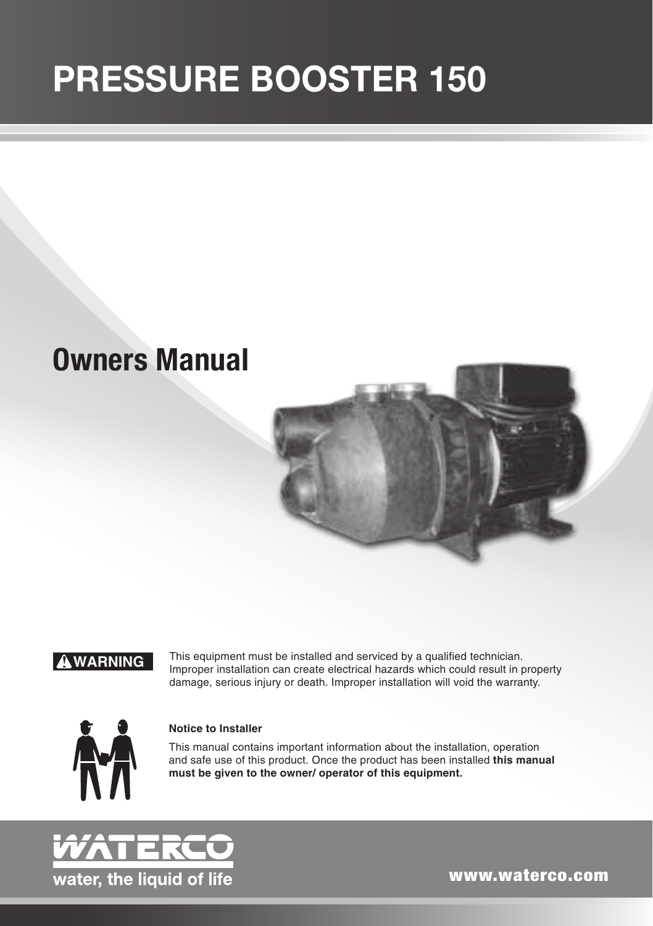# PRESSURE BOOSTER 150

# **Owners Manual**



! **WARNING**

This equipment must be installed and serviced by a qualified technician. Improper installation can create electrical hazards which could result in property damage, serious injury or death. Improper installation will void the warranty.



#### **Notice to Installer**

This manual contains important information about the installation, operation and safe use of this product. Once the product has been installed **this manual must be given to the owner/ operator of this equipment.**



www.waterco.com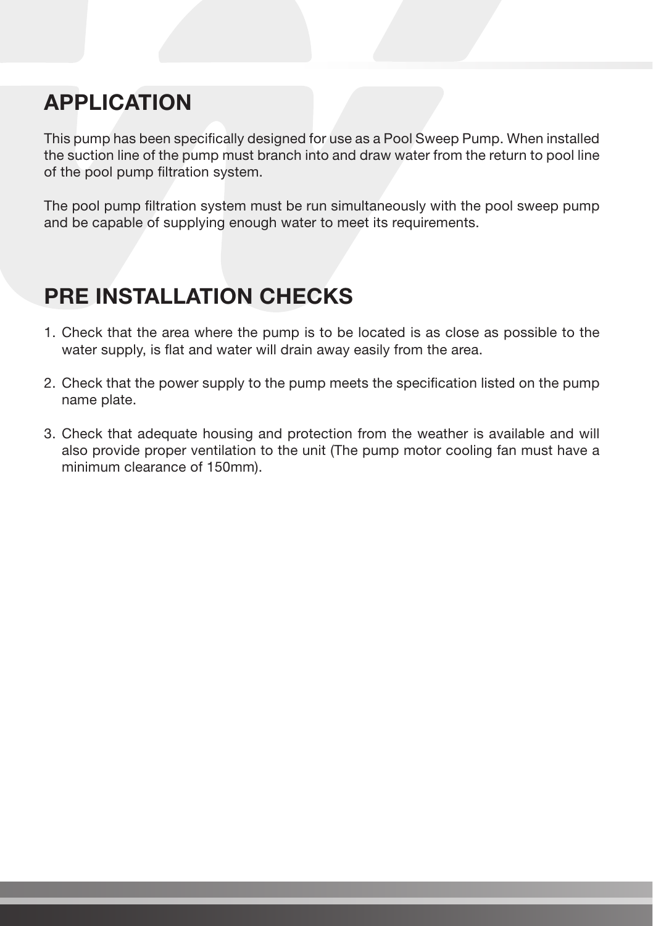### APPLICATION

This pump has been specifically designed for use as a Pool Sweep Pump. When installed the suction line of the pump must branch into and draw water from the return to pool line of the pool pump filtration system.

The pool pump filtration system must be run simultaneously with the pool sweep pump and be capable of supplying enough water to meet its requirements.

## PRE INSTALLATION CHECKS

- 1. Check that the area where the pump is to be located is as close as possible to the water supply, is flat and water will drain away easily from the area.
- 2. Check that the power supply to the pump meets the specification listed on the pump name plate.
- 3. Check that adequate housing and protection from the weather is available and will also provide proper ventilation to the unit (The pump motor cooling fan must have a minimum clearance of 150mm).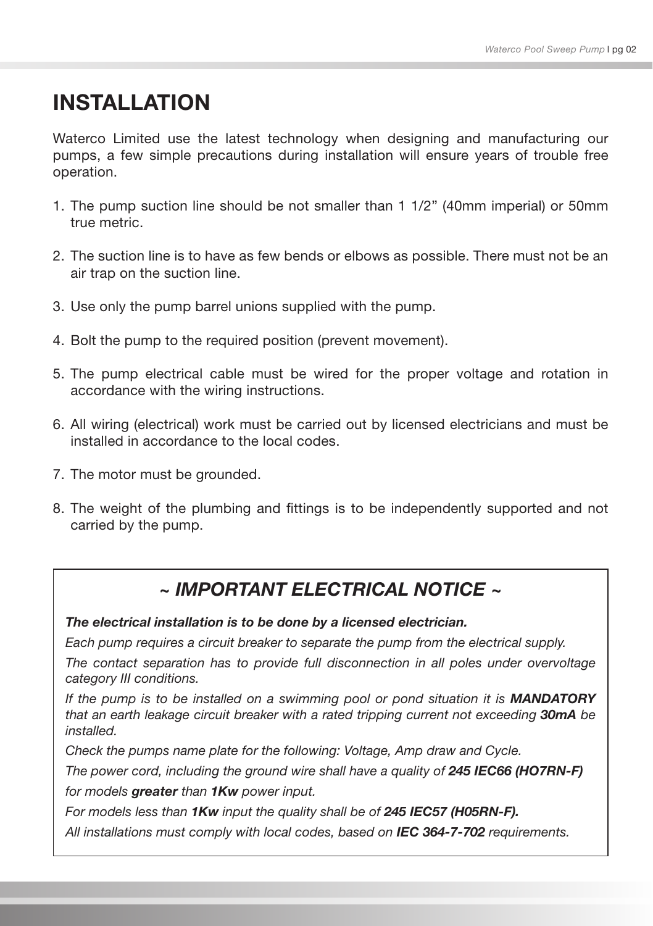### INSTALLATION

Waterco Limited use the latest technology when designing and manufacturing our pumps, a few simple precautions during installation will ensure years of trouble free operation.

- 1. The pump suction line should be not smaller than 1 1/2" (40mm imperial) or 50mm true metric.
- 2. The suction line is to have as few bends or elbows as possible. There must not be an air trap on the suction line.
- 3. Use only the pump barrel unions supplied with the pump.
- 4. Bolt the pump to the required position (prevent movement).
- 5. The pump electrical cable must be wired for the proper voltage and rotation in accordance with the wiring instructions.
- 6. All wiring (electrical) work must be carried out by licensed electricians and must be installed in accordance to the local codes.
- 7. The motor must be grounded.
- 8. The weight of the plumbing and fittings is to be independently supported and not carried by the pump.

### *~ IMPORTANT ELECTRICAL NOTICE ~*

*The electrical installation is to be done by a licensed electrician.*

*Each pump requires a circuit breaker to separate the pump from the electrical supply.*

*The contact separation has to provide full disconnection in all poles under overvoltage category III conditions.* 

*If the pump is to be installed on a swimming pool or pond situation it is MANDATORY that an earth leakage circuit breaker with a rated tripping current not exceeding 30mA be installed.*

*Check the pumps name plate for the following: Voltage, Amp draw and Cycle.* 

*The power cord, including the ground wire shall have a quality of 245 IEC66 (HO7RN-F)* 

*for models greater than 1Kw power input.*

*For models less than 1Kw input the quality shall be of 245 IEC57 (H05RN-F).*

*All installations must comply with local codes, based on IEC 364-7-702 requirements.*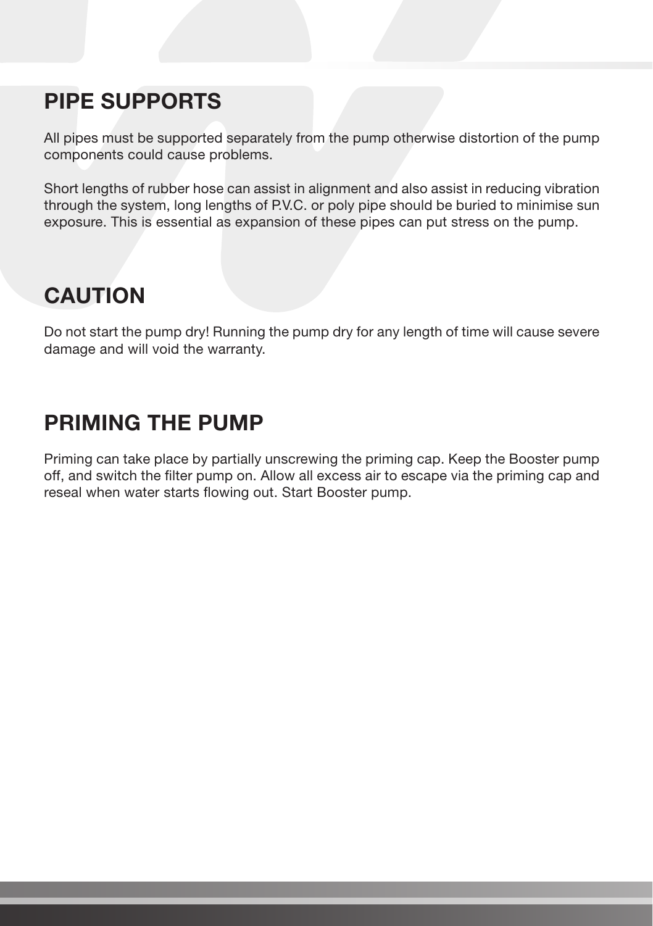### PIPE SUPPORTS

All pipes must be supported separately from the pump otherwise distortion of the pump components could cause problems.

Short lengths of rubber hose can assist in alignment and also assist in reducing vibration through the system, long lengths of P.V.C. or poly pipe should be buried to minimise sun exposure. This is essential as expansion of these pipes can put stress on the pump.

### **CAUTION**

Do not start the pump dry! Running the pump dry for any length of time will cause severe damage and will void the warranty.

### PRIMING THE PUMP

Priming can take place by partially unscrewing the priming cap. Keep the Booster pump off, and switch the filter pump on. Allow all excess air to escape via the priming cap and reseal when water starts flowing out. Start Booster pump.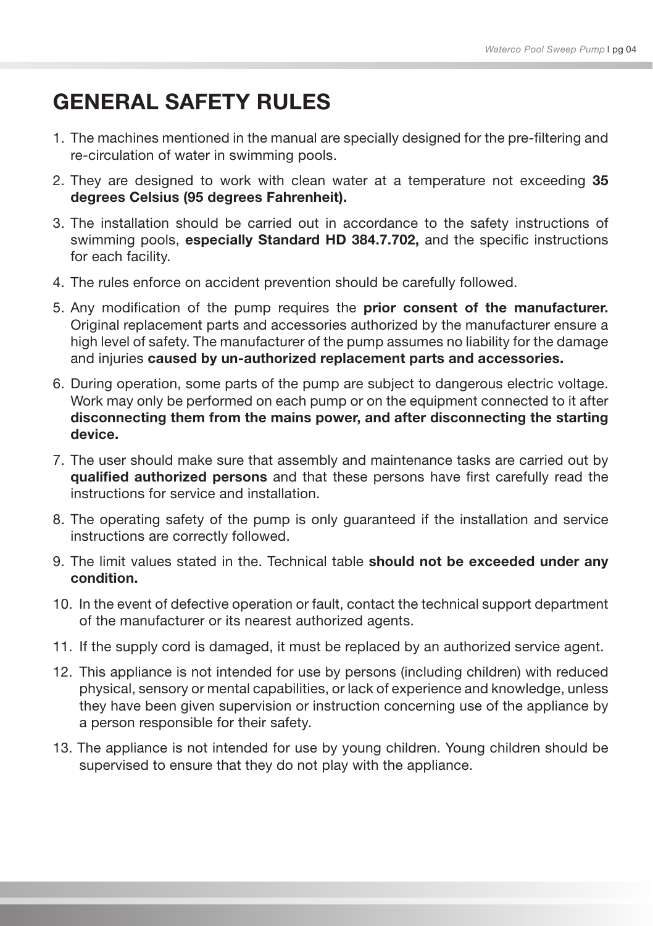### GENERAL SAFETY RULES

- 1. The machines mentioned in the manual are specially designed for the pre-filtering and re-circulation of water in swimming pools.
- 2. They are designed to work with clean water at a temperature not exceeding 35 degrees Celsius (95 degrees Fahrenheit).
- 3. The installation should be carried out in accordance to the safety instructions of swimming pools, especially Standard HD 384.7.702, and the specific instructions for each facility.
- 4. The rules enforce on accident prevention should be carefully followed.
- 5. Any modification of the pump requires the prior consent of the manufacturer. Original replacement parts and accessories authorized by the manufacturer ensure a high level of safety. The manufacturer of the pump assumes no liability for the damage and injuries caused by un-authorized replacement parts and accessories.
- 6. During operation, some parts of the pump are subject to dangerous electric voltage. Work may only be performed on each pump or on the equipment connected to it after disconnecting them from the mains power, and after disconnecting the starting device.
- 7. The user should make sure that assembly and maintenance tasks are carried out by qualified authorized persons and that these persons have first carefully read the instructions for service and installation.
- 8. The operating safety of the pump is only guaranteed if the installation and service instructions are correctly followed.
- 9. The limit values stated in the. Technical table should not be exceeded under any condition.
- 10. In the event of defective operation or fault, contact the technical support department of the manufacturer or its nearest authorized agents.
- 11. If the supply cord is damaged, it must be replaced by an authorized service agent.
- 12. This appliance is not intended for use by persons (including children) with reduced physical, sensory or mental capabilities, or lack of experience and knowledge, unless they have been given supervision or instruction concerning use of the appliance by a person responsible for their safety.
- 13. The appliance is not intended for use by young children. Young children should be supervised to ensure that they do not play with the appliance.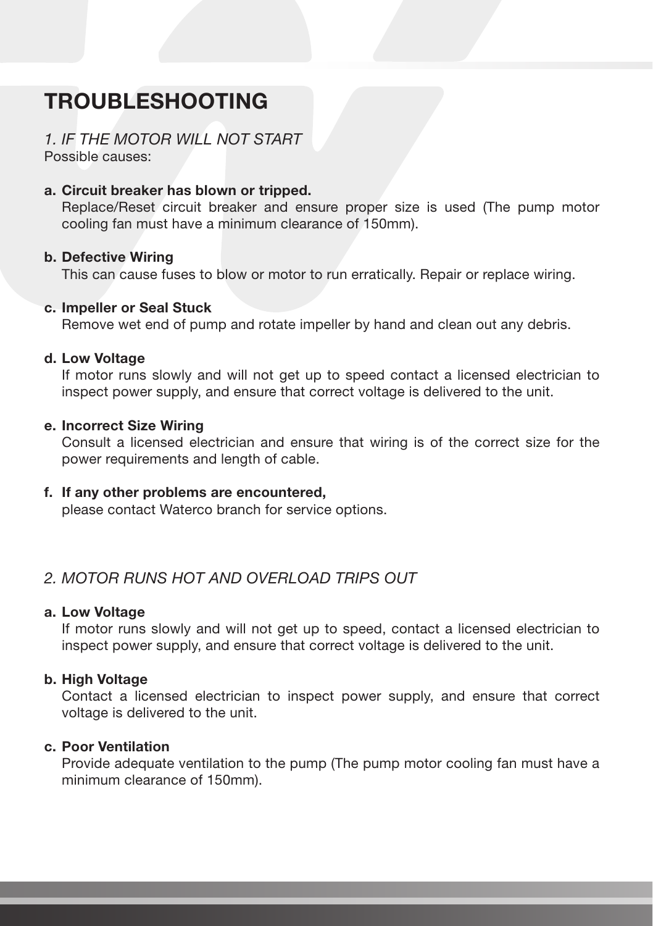## TROUBLESHOOTING

### *1. IF THE MOTOR WILL NOT START*

Possible causes:

#### a. Circuit breaker has blown or tripped.

Replace/Reset circuit breaker and ensure proper size is used (The pump motor cooling fan must have a minimum clearance of 150mm).

#### b. Defective Wiring

This can cause fuses to blow or motor to run erratically. Repair or replace wiring.

#### c. Impeller or Seal Stuck

Remove wet end of pump and rotate impeller by hand and clean out any debris.

#### d. Low Voltage

If motor runs slowly and will not get up to speed contact a licensed electrician to inspect power supply, and ensure that correct voltage is delivered to the unit.

#### e. Incorrect Size Wiring

Consult a licensed electrician and ensure that wiring is of the correct size for the power requirements and length of cable.

#### f. If any other problems are encountered,

please contact Waterco branch for service options.

#### *2. MOTOR RUNS HOT AND OVERLOAD TRIPS OUT*

#### a. Low Voltage

If motor runs slowly and will not get up to speed, contact a licensed electrician to inspect power supply, and ensure that correct voltage is delivered to the unit.

#### b. High Voltage

Contact a licensed electrician to inspect power supply, and ensure that correct voltage is delivered to the unit.

#### c. Poor Ventilation

Provide adequate ventilation to the pump (The pump motor cooling fan must have a minimum clearance of 150mm).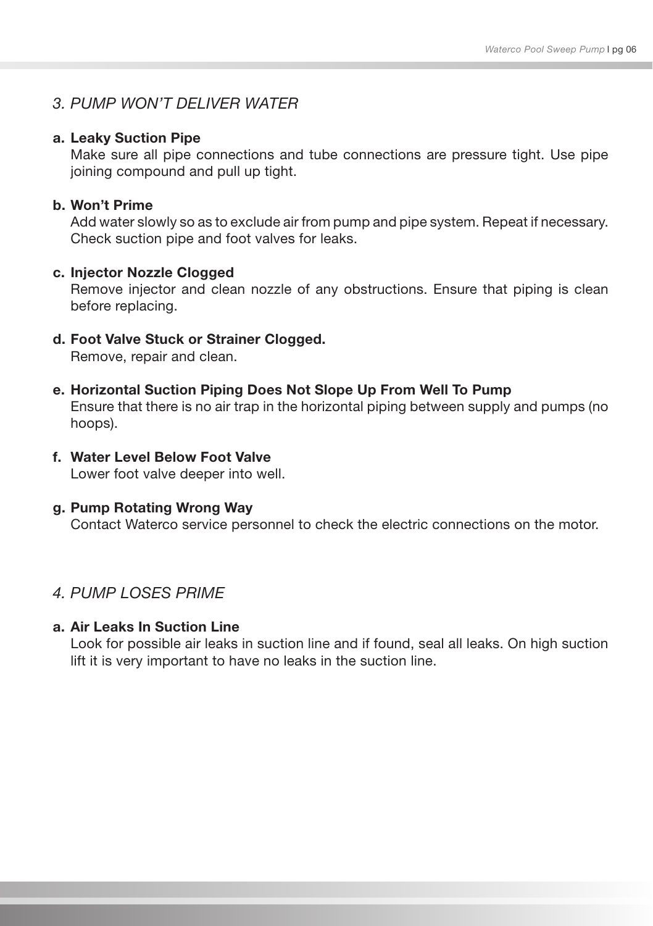#### *3. PUMP WON'T DELIVER WATER*

#### a. Leaky Suction Pipe

Make sure all pipe connections and tube connections are pressure tight. Use pipe joining compound and pull up tight.

#### b. Won't Prime

Add water slowly so as to exclude air from pump and pipe system. Repeat if necessary. Check suction pipe and foot valves for leaks.

#### c. Injector Nozzle Clogged

Remove injector and clean nozzle of any obstructions. Ensure that piping is clean before replacing.

d. Foot Valve Stuck or Strainer Clogged.

Remove, repair and clean.

- e. Horizontal Suction Piping Does Not Slope Up From Well To Pump Ensure that there is no air trap in the horizontal piping between supply and pumps (no hoops).
- f. Water Level Below Foot Valve Lower foot valve deeper into well.

#### g. Pump Rotating Wrong Way

Contact Waterco service personnel to check the electric connections on the motor.

#### *4. PUMP LOSES PRIME*

#### a. Air Leaks In Suction Line

Look for possible air leaks in suction line and if found, seal all leaks. On high suction lift it is very important to have no leaks in the suction line.